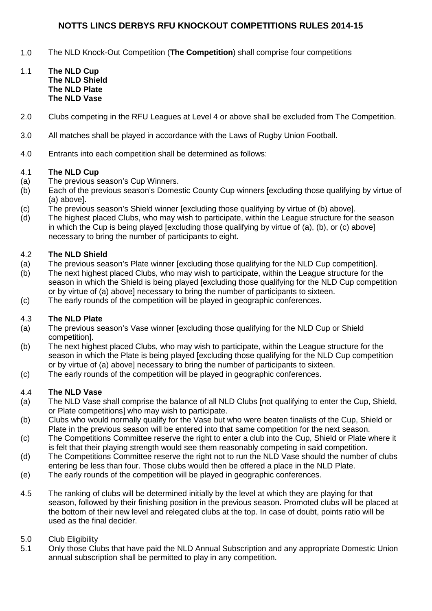# **NOTTS LINCS DERBYS RFU KNOCKOUT COMPETITIONS RULES 2014-15**

- 1.0 The NLD Knock-Out Competition (**The Competition**) shall comprise four competitions
- 1.1 **The NLD Cup The NLD Shield The NLD Plate The NLD Vase**
- 2.0 Clubs competing in the RFU Leagues at Level 4 or above shall be excluded from The Competition.
- 3.0 All matches shall be played in accordance with the Laws of Rugby Union Football.
- 4.0 Entrants into each competition shall be determined as follows:

### 4.1 **The NLD Cup**

- (a) The previous season's Cup Winners.
- (b) Each of the previous season's Domestic County Cup winners [excluding those qualifying by virtue of (a) above].
- (c) The previous season's Shield winner [excluding those qualifying by virtue of (b) above].
- (d) The highest placed Clubs, who may wish to participate, within the League structure for the season in which the Cup is being played [excluding those qualifying by virtue of (a), (b), or (c) above] necessary to bring the number of participants to eight.

### 4.2 **The NLD Shield**

- (a) The previous season's Plate winner [excluding those qualifying for the NLD Cup competition].
- (b) The next highest placed Clubs, who may wish to participate, within the League structure for the season in which the Shield is being played [excluding those qualifying for the NLD Cup competition or by virtue of (a) above] necessary to bring the number of participants to sixteen.
- (c) The early rounds of the competition will be played in geographic conferences.

# 4.3 **The NLD Plate**

- (a) The previous season's Vase winner [excluding those qualifying for the NLD Cup or Shield competition].
- (b) The next highest placed Clubs, who may wish to participate, within the League structure for the season in which the Plate is being played [excluding those qualifying for the NLD Cup competition or by virtue of (a) above] necessary to bring the number of participants to sixteen.
- (c) The early rounds of the competition will be played in geographic conferences.

# 4.4 **The NLD Vase**

- (a) The NLD Vase shall comprise the balance of all NLD Clubs [not qualifying to enter the Cup, Shield, or Plate competitions] who may wish to participate.
- (b) Clubs who would normally qualify for the Vase but who were beaten finalists of the Cup, Shield or Plate in the previous season will be entered into that same competition for the next season.
- (c) The Competitions Committee reserve the right to enter a club into the Cup, Shield or Plate where it is felt that their playing strength would see them reasonably competing in said competition.
- (d) The Competitions Committee reserve the right not to run the NLD Vase should the number of clubs entering be less than four. Those clubs would then be offered a place in the NLD Plate.
- (e) The early rounds of the competition will be played in geographic conferences.
- 4.5 The ranking of clubs will be determined initially by the level at which they are playing for that season, followed by their finishing position in the previous season. Promoted clubs will be placed at the bottom of their new level and relegated clubs at the top. In case of doubt, points ratio will be used as the final decider.

# 5.0 Club Eligibility

5.1 Only those Clubs that have paid the NLD Annual Subscription and any appropriate Domestic Union annual subscription shall be permitted to play in any competition.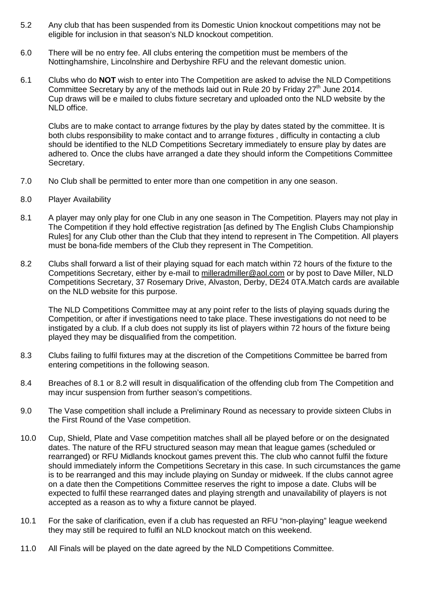- 5.2 Any club that has been suspended from its Domestic Union knockout competitions may not be eligible for inclusion in that season's NLD knockout competition.
- 6.0 There will be no entry fee. All clubs entering the competition must be members of the Nottinghamshire, Lincolnshire and Derbyshire RFU and the relevant domestic union.
- 6.1 Clubs who do **NOT** wish to enter into The Competition are asked to advise the NLD Competitions Committee Secretary by any of the methods laid out in Rule 20 by Friday  $27<sup>th</sup>$  June 2014. Cup draws will be e mailed to clubs fixture secretary and uploaded onto the NLD website by the NLD office.

Clubs are to make contact to arrange fixtures by the play by dates stated by the committee. It is both clubs responsibility to make contact and to arrange fixtures , difficulty in contacting a club should be identified to the NLD Competitions Secretary immediately to ensure play by dates are adhered to. Once the clubs have arranged a date they should inform the Competitions Committee Secretary.

- 7.0 No Club shall be permitted to enter more than one competition in any one season.
- 8.0 Player Availability
- 8.1 A player may only play for one Club in any one season in The Competition. Players may not play in The Competition if they hold effective registration [as defined by The English Clubs Championship Rules] for any Club other than the Club that they intend to represent in The Competition. All players must be bona-fide members of the Club they represent in The Competition.
- 8.2 Clubs shall forward a list of their playing squad for each match within 72 hours of the fixture to the Competitions Secretary, either by e-mail to [milleradmiller@aol.com](mailto:milleradmiller@aol.com) or by post to Dave Miller, NLD Competitions Secretary, 37 Rosemary Drive, Alvaston, Derby, DE24 0TA.Match cards are available on the NLD website for this purpose.

The NLD Competitions Committee may at any point refer to the lists of playing squads during the Competition, or after if investigations need to take place. These investigations do not need to be instigated by a club. If a club does not supply its list of players within 72 hours of the fixture being played they may be disqualified from the competition.

- 8.3 Clubs failing to fulfil fixtures may at the discretion of the Competitions Committee be barred from entering competitions in the following season.
- 8.4 Breaches of 8.1 or 8.2 will result in disqualification of the offending club from The Competition and may incur suspension from further season's competitions.
- 9.0 The Vase competition shall include a Preliminary Round as necessary to provide sixteen Clubs in the First Round of the Vase competition.
- 10.0 Cup, Shield, Plate and Vase competition matches shall all be played before or on the designated dates. The nature of the RFU structured season may mean that league games (scheduled or rearranged) or RFU Midlands knockout games prevent this. The club who cannot fulfil the fixture should immediately inform the Competitions Secretary in this case. In such circumstances the game is to be rearranged and this may include playing on Sunday or midweek. If the clubs cannot agree on a date then the Competitions Committee reserves the right to impose a date. Clubs will be expected to fulfil these rearranged dates and playing strength and unavailability of players is not accepted as a reason as to why a fixture cannot be played.
- 10.1 For the sake of clarification, even if a club has requested an RFU "non-playing" league weekend they may still be required to fulfil an NLD knockout match on this weekend.
- 11.0 All Finals will be played on the date agreed by the NLD Competitions Committee.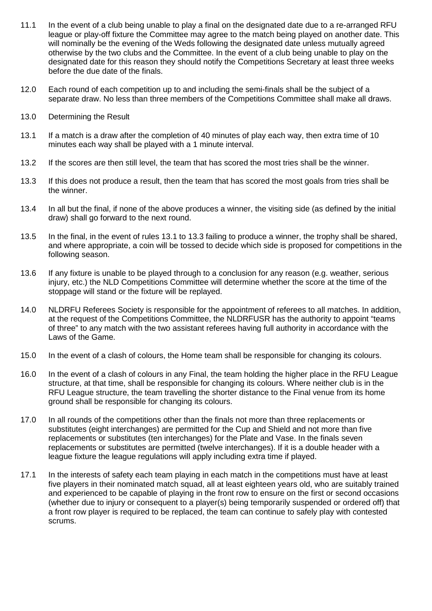- 11.1 In the event of a club being unable to play a final on the designated date due to a re-arranged RFU league or play-off fixture the Committee may agree to the match being played on another date. This will nominally be the evening of the Weds following the designated date unless mutually agreed otherwise by the two clubs and the Committee. In the event of a club being unable to play on the designated date for this reason they should notify the Competitions Secretary at least three weeks before the due date of the finals.
- 12.0 Each round of each competition up to and including the semi-finals shall be the subject of a separate draw. No less than three members of the Competitions Committee shall make all draws.
- 13.0 Determining the Result
- 13.1 If a match is a draw after the completion of 40 minutes of play each way, then extra time of 10 minutes each way shall be played with a 1 minute interval.
- 13.2 If the scores are then still level, the team that has scored the most tries shall be the winner.
- 13.3 If this does not produce a result, then the team that has scored the most goals from tries shall be the winner.
- 13.4 In all but the final, if none of the above produces a winner, the visiting side (as defined by the initial draw) shall go forward to the next round.
- 13.5 In the final, in the event of rules 13.1 to 13.3 failing to produce a winner, the trophy shall be shared, and where appropriate, a coin will be tossed to decide which side is proposed for competitions in the following season.
- 13.6 If any fixture is unable to be played through to a conclusion for any reason (e.g. weather, serious injury, etc.) the NLD Competitions Committee will determine whether the score at the time of the stoppage will stand or the fixture will be replayed.
- 14.0 NLDRFU Referees Society is responsible for the appointment of referees to all matches. In addition, at the request of the Competitions Committee, the NLDRFUSR has the authority to appoint "teams of three" to any match with the two assistant referees having full authority in accordance with the Laws of the Game.
- 15.0 In the event of a clash of colours, the Home team shall be responsible for changing its colours.
- 16.0 In the event of a clash of colours in any Final, the team holding the higher place in the RFU League structure, at that time, shall be responsible for changing its colours. Where neither club is in the RFU League structure, the team travelling the shorter distance to the Final venue from its home ground shall be responsible for changing its colours.
- 17.0 In all rounds of the competitions other than the finals not more than three replacements or substitutes (eight interchanges) are permitted for the Cup and Shield and not more than five replacements or substitutes (ten interchanges) for the Plate and Vase. In the finals seven replacements or substitutes are permitted (twelve interchanges). If it is a double header with a league fixture the league regulations will apply including extra time if played.
- 17.1 In the interests of safety each team playing in each match in the competitions must have at least five players in their nominated match squad, all at least eighteen years old, who are suitably trained and experienced to be capable of playing in the front row to ensure on the first or second occasions (whether due to injury or consequent to a player(s) being temporarily suspended or ordered off) that a front row player is required to be replaced, the team can continue to safely play with contested scrums.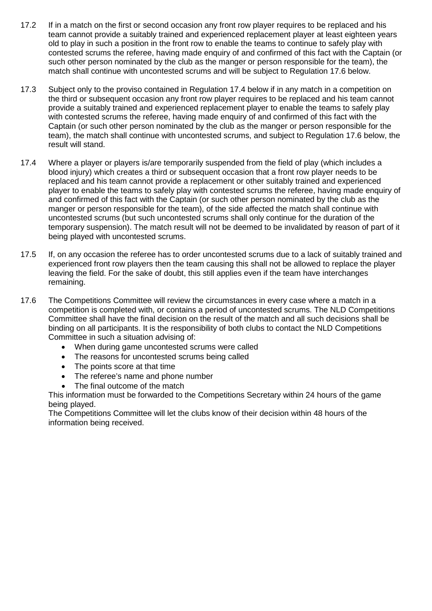- 17.2 If in a match on the first or second occasion any front row player requires to be replaced and his team cannot provide a suitably trained and experienced replacement player at least eighteen years old to play in such a position in the front row to enable the teams to continue to safely play with contested scrums the referee, having made enquiry of and confirmed of this fact with the Captain (or such other person nominated by the club as the manger or person responsible for the team), the match shall continue with uncontested scrums and will be subject to Regulation 17.6 below.
- 17.3 Subject only to the proviso contained in Regulation 17.4 below if in any match in a competition on the third or subsequent occasion any front row player requires to be replaced and his team cannot provide a suitably trained and experienced replacement player to enable the teams to safely play with contested scrums the referee, having made enquiry of and confirmed of this fact with the Captain (or such other person nominated by the club as the manger or person responsible for the team), the match shall continue with uncontested scrums, and subject to Regulation 17.6 below, the result will stand.
- 17.4 Where a player or players is/are temporarily suspended from the field of play (which includes a blood injury) which creates a third or subsequent occasion that a front row player needs to be replaced and his team cannot provide a replacement or other suitably trained and experienced player to enable the teams to safely play with contested scrums the referee, having made enquiry of and confirmed of this fact with the Captain (or such other person nominated by the club as the manger or person responsible for the team), of the side affected the match shall continue with uncontested scrums (but such uncontested scrums shall only continue for the duration of the temporary suspension). The match result will not be deemed to be invalidated by reason of part of it being played with uncontested scrums.
- 17.5 If, on any occasion the referee has to order uncontested scrums due to a lack of suitably trained and experienced front row players then the team causing this shall not be allowed to replace the player leaving the field. For the sake of doubt, this still applies even if the team have interchanges remaining.
- 17.6 The Competitions Committee will review the circumstances in every case where a match in a competition is completed with, or contains a period of uncontested scrums. The NLD Competitions Committee shall have the final decision on the result of the match and all such decisions shall be binding on all participants. It is the responsibility of both clubs to contact the NLD Competitions Committee in such a situation advising of:
	- When during game uncontested scrums were called
	- The reasons for uncontested scrums being called
	- The points score at that time
	- The referee's name and phone number
	- The final outcome of the match

This information must be forwarded to the Competitions Secretary within 24 hours of the game being played.

The Competitions Committee will let the clubs know of their decision within 48 hours of the information being received.